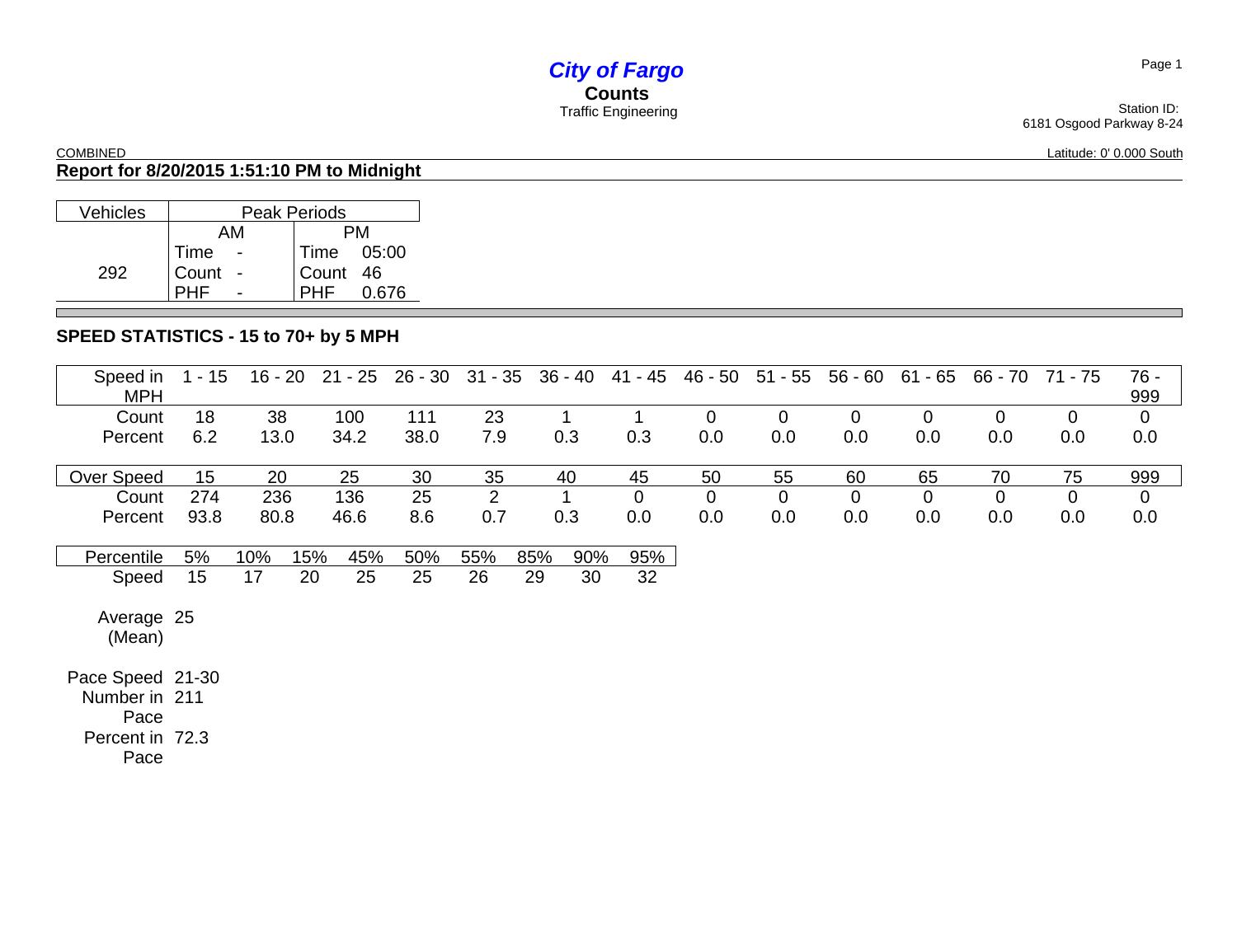Page 1

Station ID: 6181 Osgood Parkway 8-24

Latitude: 0' 0.000 South

#### **COMBINED Report for 8/20/2015 1:51:10 PM to Midnight**

| <b>Vehicles</b> | <b>Peak Periods</b> |                        |  |  |  |  |  |  |
|-----------------|---------------------|------------------------|--|--|--|--|--|--|
|                 | AМ                  | PМ                     |  |  |  |  |  |  |
|                 | Time                | Time 05:00<br>Count 46 |  |  |  |  |  |  |
| 292             | Count               |                        |  |  |  |  |  |  |
|                 |                     | <u>በ 676</u>           |  |  |  |  |  |  |

## **SPEED STATISTICS - 15 to 70+ by 5 MPH**

| Speed in                      | 1 - 15  |                      |                        | $16 - 20$ 21 - 25 26 - 30 31 - 35 |         | 36 - 40                                          | 41 - 45 46 - 50          |     |     | $51 - 55$ $56 - 60$ | 61 - 65 | 66 - 70 | 71 - 75 | 76 -        |
|-------------------------------|---------|----------------------|------------------------|-----------------------------------|---------|--------------------------------------------------|--------------------------|-----|-----|---------------------|---------|---------|---------|-------------|
| <b>MPH</b>                    |         |                      |                        |                                   |         |                                                  |                          |     |     |                     |         |         |         | 999         |
| Count                         | 18      | 38                   | 100                    | 111                               | 23      |                                                  |                          |     |     |                     |         |         |         | $\mathbf 0$ |
| Percent                       | 6.2     | 13.0                 | 34.2                   | 38.0                              | 7.9     | 0.3                                              | 0.3                      | 0.0 | 0.0 | 0.0                 | 0.0     | 0.0     | 0.0     | 0.0         |
| Over Speed                    | 15      | 20                   | 25                     | 30                                | 35      | 40                                               | 45                       | 50  | 55  | 60                  | 65      | 70      | 75      | 999         |
| Count                         | 274     | 236                  | 136                    | 25                                |         |                                                  |                          | 0   | 0   | 0                   | 0       |         | 0       | 0           |
| Percent                       | 93.8    | 80.8                 | 46.6                   | 8.6                               | 0.7     | 0.3                                              | 0.0                      | 0.0 | 0.0 | 0.0                 | 0.0     | 0.0     | 0.0     | 0.0         |
| $\overline{\phantom{a}}$<br>. | $-\sim$ | $\lambda$<br>$1 - 0$ | $\cdot$ $\sim$ $\cdot$ | $-0.01$                           | $- - -$ | $\sim$ $\sim$ $\sim$<br>$\sim$ – $\sim$ $\prime$ | $\sim$ – $\sim$ $\prime$ |     |     |                     |         |         |         |             |

| Percentile 5% 10% 15% 45% 50% 55% 85% 90% 95% |  |  |  |  |  |
|-----------------------------------------------|--|--|--|--|--|
| Speed 15 17 20 25 25 26 29 30 32              |  |  |  |  |  |

Average 25 (Mean)

Pace Speed 21-30

Number in 211 Pace

Percent in 72.3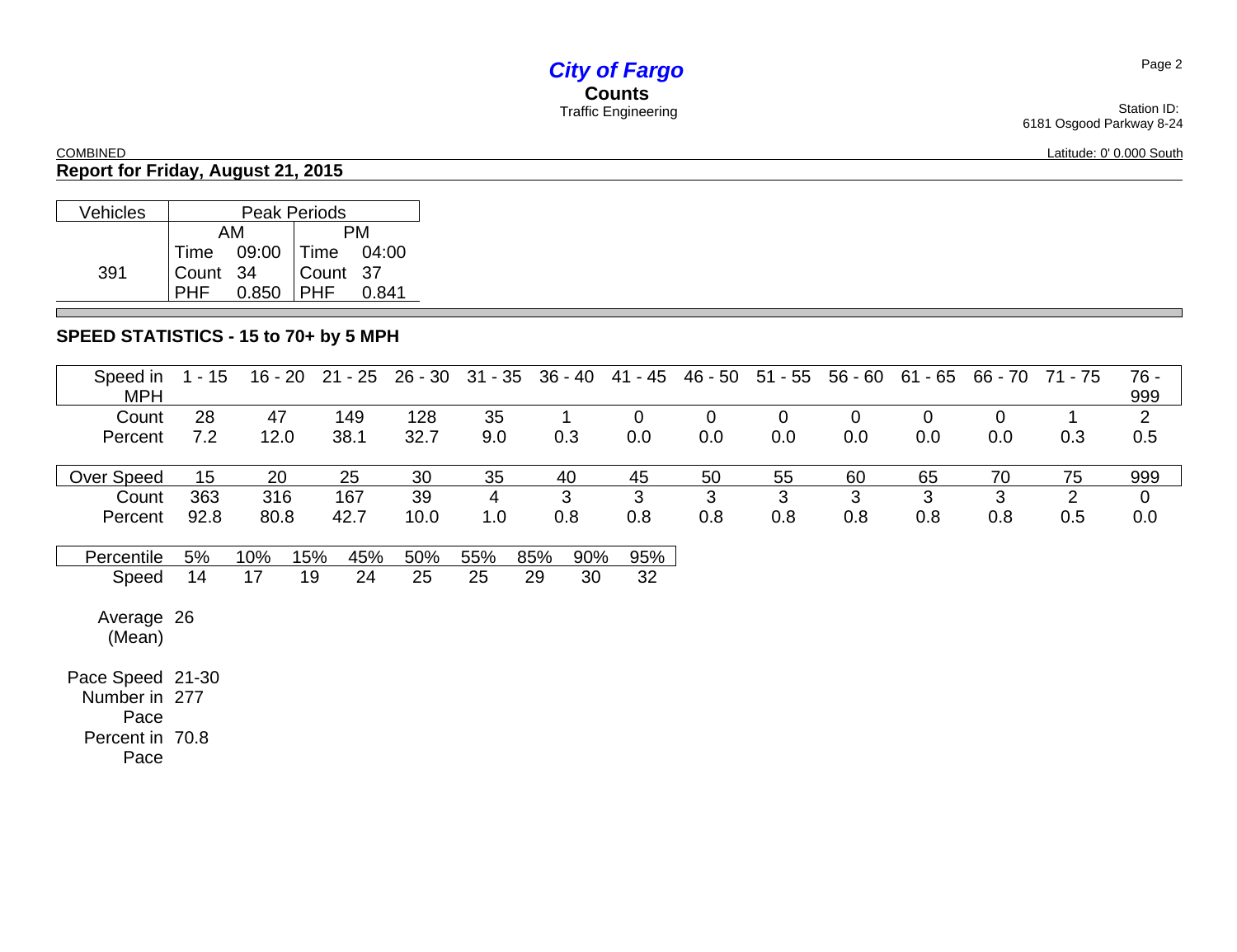Page 2

Station ID: 6181 Osgood Parkway 8-24

Latitude: 0' 0.000 South

#### **COMBINED Report for Friday, August 21, 2015**

| <b>Vehicles</b> | <b>Peak Periods</b> |                                            |     |       |  |  |  |  |
|-----------------|---------------------|--------------------------------------------|-----|-------|--|--|--|--|
|                 |                     | AM                                         | PМ  |       |  |  |  |  |
|                 |                     | Time 09:00 Time 04:00<br>Count 34 Count 37 |     |       |  |  |  |  |
| 391             |                     |                                            |     |       |  |  |  |  |
|                 |                     | 0.850                                      | PHF | 0.841 |  |  |  |  |

## **SPEED STATISTICS - 15 to 70+ by 5 MPH**

| Speed in   | - 15 |      | 16 - 20 21 - 25 26 - 30 31 - 35 36 - 40 |      |     |     | 41 - 45 46 - 50 51 - 55 56 - 60 |     |     |     | 61 - 65 | 66 - 70 | 71 - 75 | $76 -$ |
|------------|------|------|-----------------------------------------|------|-----|-----|---------------------------------|-----|-----|-----|---------|---------|---------|--------|
| <b>MPH</b> |      |      |                                         |      |     |     |                                 |     |     |     |         |         |         | 999    |
| Count      | 28   | 47   | 149                                     | 128  | 35  |     |                                 |     |     |     |         |         |         | 2      |
| Percent    | 7.2  | 12.0 | 38.1                                    | 32.7 | 9.0 | 0.3 | 0.0                             | 0.0 | 0.0 | 0.0 | 0.0     | 0.0     | 0.3     | 0.5    |
|            |      |      |                                         |      |     |     |                                 |     |     |     |         |         |         |        |
| Over Speed | 15   | 20   | 25                                      | 30   | 35  | 40  | 45                              | 50  | 55  | 60  | 65      | 70      | 75      | 999    |
| Count      | 363  | 316  | 167                                     | 39   | 4   | 3   | 3                               | 3   | 3   | 3   | 3       | 3       | っ       | 0      |
| Percent    | 92.8 | 80.8 | 42.7                                    | 10.0 | 1.0 | 0.8 | 0.8                             | 0.8 | 0.8 | 0.8 | 0.8     | 0.8     | 0.5     | 0.0    |
|            |      |      |                                         |      |     |     |                                 |     |     |     |         |         |         |        |

| Percentile 5% 10% 15% 45% 50% 55% 85% 90% 95% |  |  |  |  |  |
|-----------------------------------------------|--|--|--|--|--|
| Speed 14 17 19 24 25 25 29 30 32              |  |  |  |  |  |

Average 26 (Mean)

Pace Speed 21-30 Number in 277 Pace

Percent in 70.8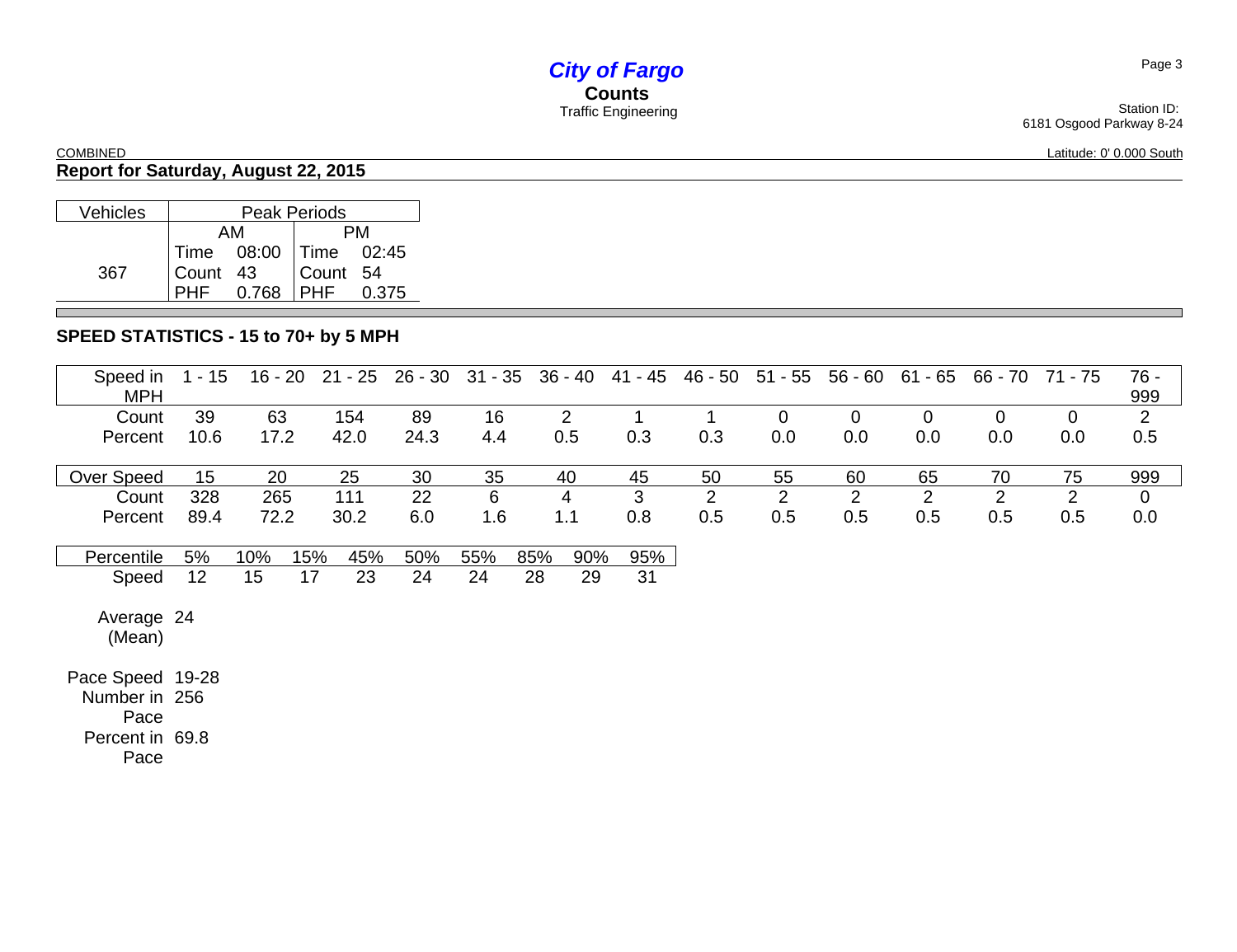Page 3

Station ID: 6181 Osgood Parkway 8-24

Latitude: 0' 0.000 South

#### **COMBINED Report for Saturday, August 22, 2015**

| <b>Vehicles</b> | Peak Periods |                                                                                                                                           |          |  |  |  |  |  |
|-----------------|--------------|-------------------------------------------------------------------------------------------------------------------------------------------|----------|--|--|--|--|--|
|                 |              | AM                                                                                                                                        | PМ       |  |  |  |  |  |
|                 |              | $\begin{array}{ l l }\n\hline\n\text{Time} & 08:00 & \text{Time} & 02:45 \\ \text{Count} & 43 & \text{Count} & 54 \\ \hline\n\end{array}$ |          |  |  |  |  |  |
| 367             |              |                                                                                                                                           | Count 54 |  |  |  |  |  |
|                 |              | $0.768$ PHF $0.375$                                                                                                                       |          |  |  |  |  |  |

## **SPEED STATISTICS - 15 to 70+ by 5 MPH**

| Speed in          | 1 - 15 |      | 16 - 20 21 - 25 26 - 30 31 - 35 36 - 40 |      |     |            |     |     | 41 - 45 46 - 50 51 - 55 56 - 60 |     | 61 - 65 | 66 - 70 | 71 - 75 | $76 -$      |
|-------------------|--------|------|-----------------------------------------|------|-----|------------|-----|-----|---------------------------------|-----|---------|---------|---------|-------------|
| <b>MPH</b>        |        |      |                                         |      |     |            |     |     |                                 |     |         |         |         | 999         |
| Count             | 39     | 63   | 154                                     | 89   | 16  |            |     |     | 0                               |     |         |         | 0       | 2           |
| Percent           | 10.6   | 17.2 | 42.0                                    | 24.3 | 4.4 | 0.5        | 0.3 | 0.3 | 0.0                             | 0.0 | 0.0     | 0.0     | 0.0     | 0.5         |
|                   |        |      |                                         |      |     |            |     |     |                                 |     |         |         |         |             |
| <b>Over Speed</b> | 15     | 20   | 25                                      | 30   | 35  | 40         | 45  | 50  | 55                              | 60  | 65      | 70      | 75      | 999         |
| Count             | 328    | 265  | 111                                     | 22   | 6   | 4          | 3   | 2   | 2                               | 2   | 2       | 2       | 2       | $\mathbf 0$ |
| Percent           | 89.4   | 72.2 | 30.2                                    | 6.0  | 1.6 | 1.1        | 0.8 | 0.5 | 0.5                             | 0.5 | 0.5     | 0.5     | 0.5     | 0.0         |
|                   |        |      |                                         |      |     |            |     |     |                                 |     |         |         |         |             |
| Percentile        | 5%     | 10%  | 45%<br>15%                              | 50%  | 55% | 85%<br>90% | 95% |     |                                 |     |         |         |         |             |
| Speed             | 12     | 15   | 23                                      | 24   | 24  | 28<br>29   | 31  |     |                                 |     |         |         |         |             |

| Speed 12 15 17 23 24 24 28 29 31 |  |  |  |  |  |
|----------------------------------|--|--|--|--|--|
| Average 24                       |  |  |  |  |  |

(Mean)

Pace Speed 19-28 Number in 256

Pace

Percent in 69.8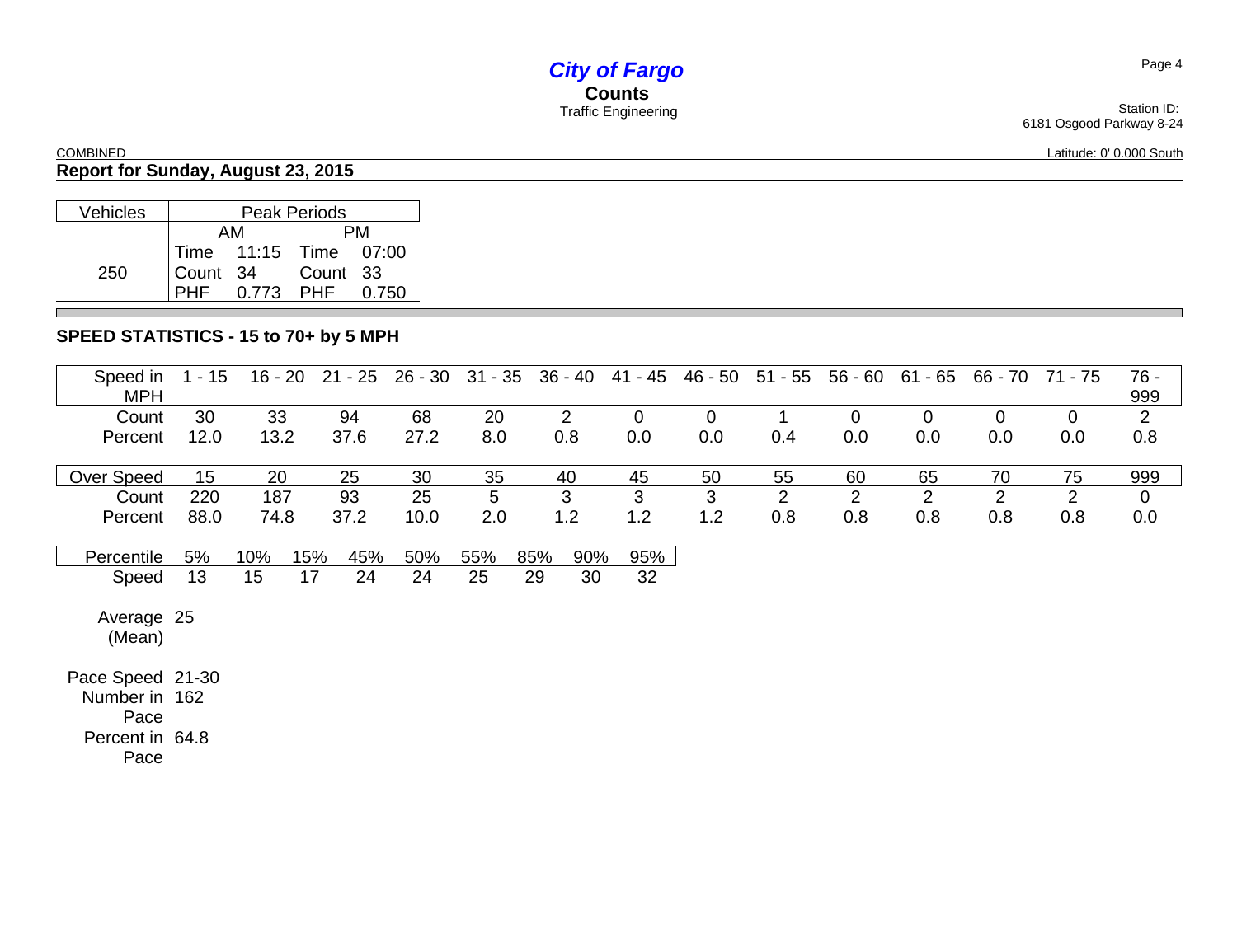Page 4

Station ID: 6181 Osgood Parkway 8-24

Latitude: 0' 0.000 South

#### **COMBINED Report for Sunday, August 23, 2015**

| <b>Vehicles</b> | Peak Periods |                                            |    |  |  |  |  |
|-----------------|--------------|--------------------------------------------|----|--|--|--|--|
|                 |              | AM                                         | PМ |  |  |  |  |
|                 |              | Time 11:15 Time 07:00<br>Count 34 Count 33 |    |  |  |  |  |
| 250             |              |                                            |    |  |  |  |  |
|                 |              | $0.773$ PHF $0.750$                        |    |  |  |  |  |

## **SPEED STATISTICS - 15 to 70+ by 5 MPH**

Speed 13 15 17 24 24 25 29 30 32

| Speed in          | - 15 | 16 - 20    | 21 - 25 26 - 30 31 - 35 |      |     | 36 - 40    | 41 - 45 |     | 46 - 50 51 - 55 | 56 - 60 | 61 - 65 | 66 - 70 | 71 - 75 | $76 -$      |
|-------------------|------|------------|-------------------------|------|-----|------------|---------|-----|-----------------|---------|---------|---------|---------|-------------|
| <b>MPH</b>        |      |            |                         |      |     |            |         |     |                 |         |         |         |         | 999         |
| Count             | 30   | 33         | 94                      | 68   | 20  |            |         |     |                 |         |         |         |         | 2           |
| Percent           | 12.0 | 13.2       | 37.6                    | 27.2 | 8.0 | 0.8        | 0.0     | 0.0 | 0.4             | 0.0     | 0.0     | 0.0     | 0.0     | 0.8         |
|                   |      |            |                         |      |     |            |         |     |                 |         |         |         |         |             |
| <b>Over Speed</b> | 15   | 20         | 25                      | 30   | 35  | 40         | 45      | 50  | 55              | 60      | 65      | 70      | 75      | 999         |
| Count             | 220  | 187        | 93                      | 25   | 5   | 3          | 3       | 3   | 2               | 2       | 2       | 2       | 2       | $\mathbf 0$ |
| Percent           | 88.0 | 74.8       | 37.2                    | 10.0 | 2.0 | 1.2        | 1.2     | 1.2 | 0.8             | 0.8     | 0.8     | 0.8     | 0.8     | 0.0         |
|                   |      |            |                         |      |     |            |         |     |                 |         |         |         |         |             |
| Percentile        | 5%   | 10%<br>15% | 45%                     | 50%  | 55% | 90%<br>85% | 95%     |     |                 |         |         |         |         |             |

| Average 25 |  |
|------------|--|
| (Mean)     |  |

Pace Speed 21-30 Number in 162 Pace

Percent in 64.8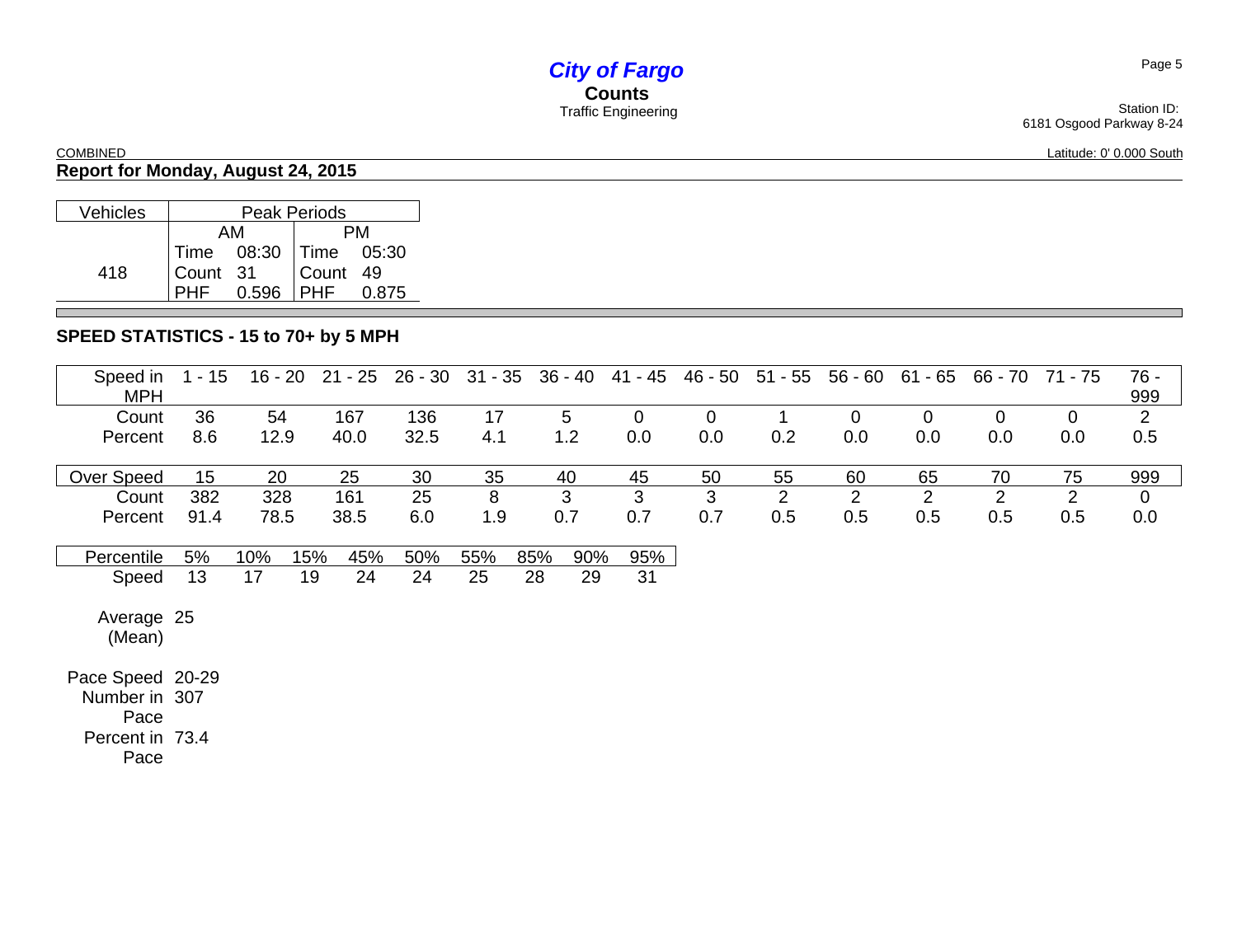Page 5

Station ID: 6181 Osgood Parkway 8-24

Latitude: 0' 0.000 South

#### **COMBINED Report for Monday, August 24, 2015**

| <b>Vehicles</b> | <b>Peak Periods</b>                        |     |       |  |  |  |  |  |  |
|-----------------|--------------------------------------------|-----|-------|--|--|--|--|--|--|
|                 | AM                                         |     | PМ    |  |  |  |  |  |  |
|                 | Time 08:30 Time 05:30<br>Count 31 Count 49 |     |       |  |  |  |  |  |  |
| 418             |                                            |     |       |  |  |  |  |  |  |
|                 | 0.596                                      | PHF | 0.875 |  |  |  |  |  |  |

## **SPEED STATISTICS - 15 to 70+ by 5 MPH**

| Speed in   | - 15 |      | $16 - 20$ $21 - 25$ $26 - 30$ $31 - 35$ $36 - 40$ |      |     |     | 41 - 45 46 - 50 51 - 55 56 - 60 |     |     |     | 61 - 65 | 66 - 70 | 71 - 75 | 76 - |
|------------|------|------|---------------------------------------------------|------|-----|-----|---------------------------------|-----|-----|-----|---------|---------|---------|------|
| <b>MPH</b> |      |      |                                                   |      |     |     |                                 |     |     |     |         |         |         | 999  |
| Count      | 36   | 54   | 167                                               | 136  | 17  | 5   |                                 |     |     |     |         |         | 0       | 2    |
| Percent    | 8.6  | 12.9 | 40.0                                              | 32.5 | 4.1 | 1.2 | 0.0                             | 0.0 | 0.2 | 0.0 | 0.0     | 0.0     | 0.0     | 0.5  |
| Over Speed | 15   | 20   | 25                                                | 30   | 35  | 40  | 45                              | 50  | 55  | 60  | 65      | 70      | 75      | 999  |
| Count      | 382  | 328  | 161                                               | 25   | 8   | 3   | 3                               | 3   | 2   | ົ   | 2       | 2       |         | 0    |
| Percent    | 91.4 | 78.5 | 38.5                                              | 6.0  | 1.9 | 0.7 | 0.7                             | 0.7 | 0.5 | 0.5 | 0.5     | 0.5     | 0.5     | 0.0  |
|            |      |      |                                                   |      |     |     |                                 |     |     |     |         |         |         |      |

| Percentile 5% 10% 15% 45% 50% 55% 85% 90% 95% |  |  |  |  |  |
|-----------------------------------------------|--|--|--|--|--|
| Speed 13 17 19 24 24 25 28 29 31              |  |  |  |  |  |

Average 25 (Mean)

Pace Speed 20-29

Number in 307

Pace

Percent in 73.4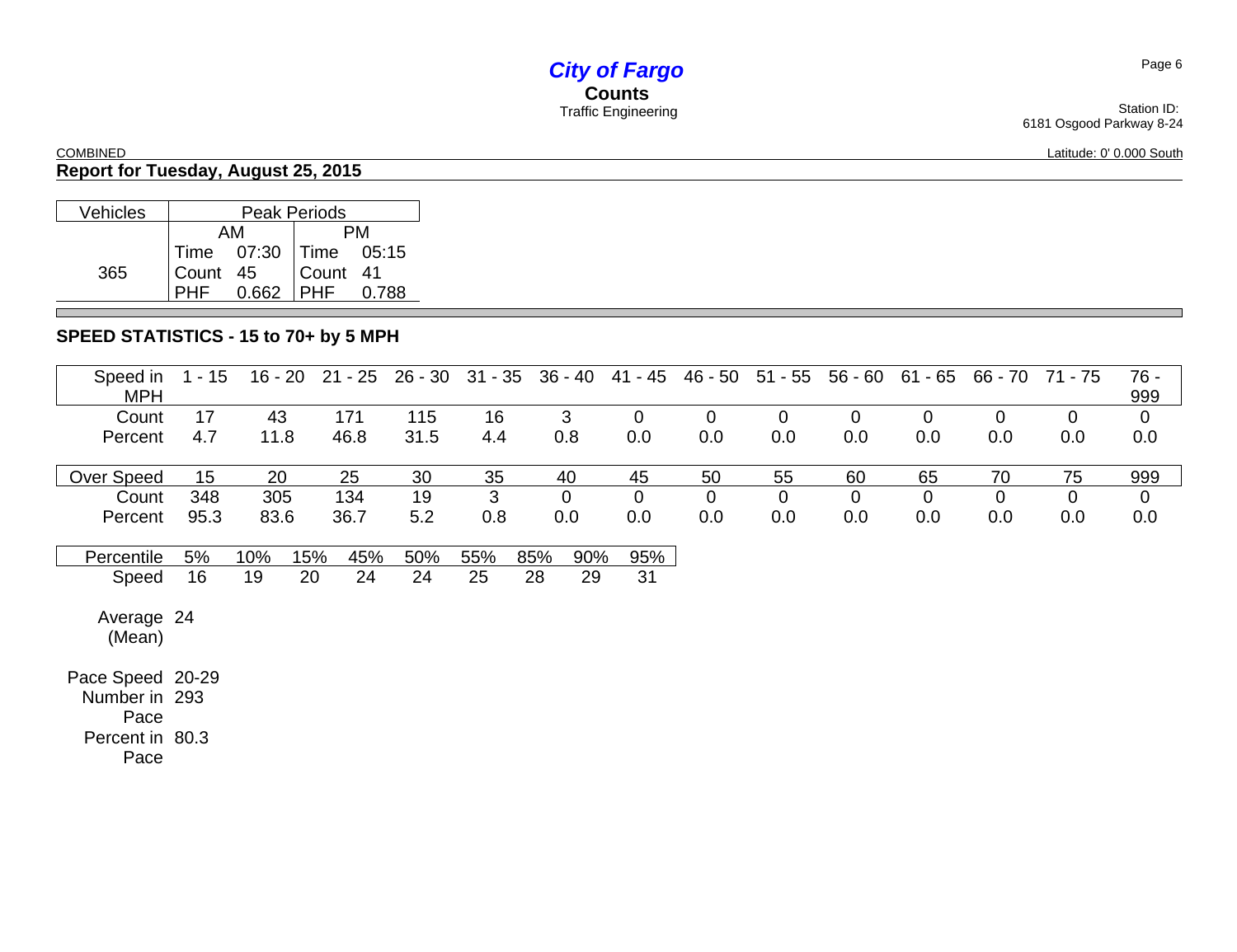Page 6

Station ID: 6181 Osgood Parkway 8-24

Latitude: 0' 0.000 South

#### **COMBINED Report for Tuesday, August 25, 2015**

| <b>Vehicles</b> | <b>Peak Periods</b> |       |                                                                                                                                         |       |  |  |  |  |  |
|-----------------|---------------------|-------|-----------------------------------------------------------------------------------------------------------------------------------------|-------|--|--|--|--|--|
|                 |                     | AM    |                                                                                                                                         | PМ    |  |  |  |  |  |
|                 |                     |       | $\begin{array}{ l l }\n\hline\n\text{Time} & 07:30 & \text{Time} & 05:15 \\ \text{Count} & 45 & \text{Count} & 41 & \hline \end{array}$ |       |  |  |  |  |  |
| 365             |                     |       |                                                                                                                                         |       |  |  |  |  |  |
|                 |                     | 0.662 | <b>PHF</b>                                                                                                                              | 0.788 |  |  |  |  |  |

## **SPEED STATISTICS - 15 to 70+ by 5 MPH**

| Speed in   | - 15  |                       |         | 16 - 20 21 - 25 26 - 30 31 - 35 36 - 40 41 - 45 46 - 50 51 - 55 56 - 60 |         |                               |                      |     |     |     | 61 - 65 | 66 - 70 | 71 - 75 | 76 - |
|------------|-------|-----------------------|---------|-------------------------------------------------------------------------|---------|-------------------------------|----------------------|-----|-----|-----|---------|---------|---------|------|
| <b>MPH</b> |       |                       |         |                                                                         |         |                               |                      |     |     |     |         |         |         | 999  |
| Count      | 17    | 43                    | 171     | 115                                                                     | 16      |                               |                      |     |     |     |         |         |         | 0    |
| Percent    | 4.7   | 11.8                  | 46.8    | 31.5                                                                    | 4.4     | 0.8                           | 0.0                  | 0.0 | 0.0 | 0.0 | 0.0     | 0.0     | 0.0     | 0.0  |
| Over Speed | 15    | 20                    | 25      | 30                                                                      | 35      | 40                            | 45                   | 50  | 55  | 60  | 65      | 70      | 75      | 999  |
| Count      | 348   | 305                   | 134     | 19                                                                      | 3       |                               |                      | 0   | 0   | 0   |         |         |         | 0    |
| Percent    | 95.3  | 83.6                  | 36.7    | 5.2                                                                     | 0.8     | 0.0                           | 0.0                  | 0.0 | 0.0 | 0.0 | 0.0     | 0.0     | 0.0     | 0.0  |
|            | $-0/$ | $\sqrt{2}$<br>$1 - 0$ | $1 - 0$ | $F^{\wedge\wedge}$                                                      | $F - Q$ | $\sim$ $\sim$ $\sim$<br>0.001 | $\sim$ $\sim$ $\sim$ |     |     |     |         |         |         |      |

| Percentile 5% 10% 15% 45% 50% 55% 85% 90% 95% |  |  |  |  |  |
|-----------------------------------------------|--|--|--|--|--|
| Speed 16 19 20 24 24 25 28 29 31              |  |  |  |  |  |

Average 24 (Mean)

Pace Speed 20-29 Number in 293

Pace

Percent in 80.3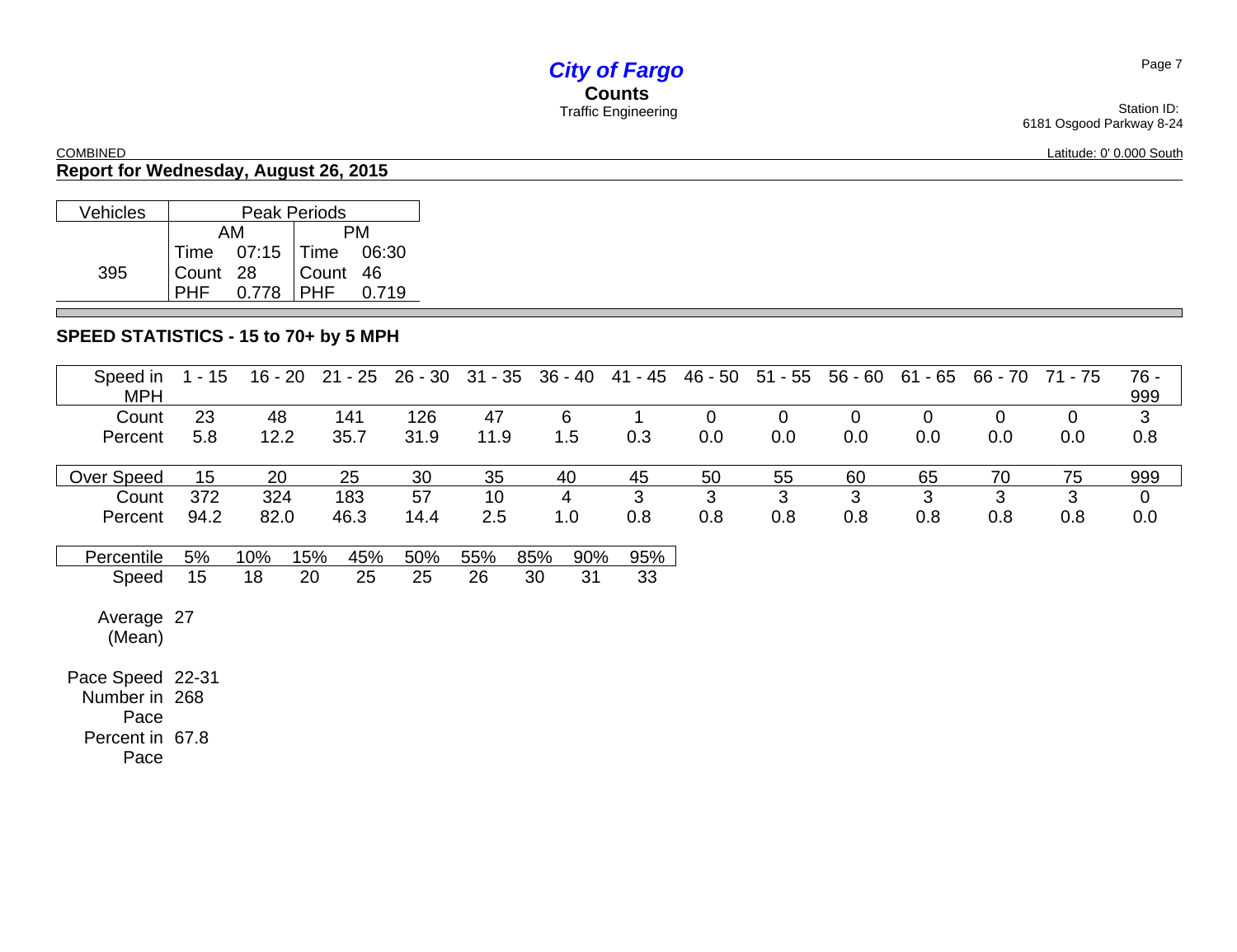Page 7

Station ID: 6181 Osgood Parkway 8-24

Latitude: 0' 0.000 South

#### **COMBINED Report for Wednesday, August 26, 2015**

| <b>Vehicles</b> | <b>Peak Periods</b> |                                            |  |    |  |  |  |  |  |
|-----------------|---------------------|--------------------------------------------|--|----|--|--|--|--|--|
|                 |                     | AM                                         |  | PМ |  |  |  |  |  |
|                 |                     | Time 07:15 Time 06:30<br>Count 28 Count 46 |  |    |  |  |  |  |  |
| 395             |                     |                                            |  |    |  |  |  |  |  |
|                 |                     | $0.778$ PHF $0.719$                        |  |    |  |  |  |  |  |

## **SPEED STATISTICS - 15 to 70+ by 5 MPH**

| Speed in   | - 15 | 16 - 20 |      | 21 - 25 26 - 30 31 - 35 36 - 40 |      |     | 41 - 45 | 46 - 50 | 51 - 55 | 56 - 60 | 61 - 65 | 66 - 70 | 71 - 75 | $76 -$ |
|------------|------|---------|------|---------------------------------|------|-----|---------|---------|---------|---------|---------|---------|---------|--------|
| <b>MPH</b> |      |         |      |                                 |      |     |         |         |         |         |         |         |         | 999    |
| Count      | 23   | 48      | 141  | 126                             | 47   | 6   |         |         |         |         |         |         |         | 3      |
| Percent    | 5.8  | 12.2    | 35.7 | 31.9                            | 11.9 | 1.5 | 0.3     | 0.0     | 0.0     | 0.0     | 0.0     | 0.0     | 0.0     | 0.8    |
|            |      |         |      |                                 |      |     |         |         |         |         |         |         |         |        |
| Over Speed | 15   | 20      | 25   | 30                              | 35   | 40  | 45      | 50      | 55      | 60      | 65      | 70      | 75      | 999    |
| Count      | 372  | 324     | 183  | 57                              | 10   | 4   | 3       | 3       | 3       | 3       |         | 3       |         | 0      |
| Percent    | 94.2 | 82.0    | 46.3 | 14.4                            | 2.5  | 1.0 | 0.8     | 0.8     | 0.8     | 0.8     | 0.8     | 0.8     | 0.8     | 0.0    |
|            |      |         |      |                                 |      |     |         |         |         |         |         |         |         |        |

| Percentile 5% 10% 15% 45% 50% 55% 85% 90% 95% |  |  |  |  |  |
|-----------------------------------------------|--|--|--|--|--|
| Speed 15 18 20 25 25 26 30 31 33              |  |  |  |  |  |

Average 27 (Mean)

Pace Speed 22-31 Number in 268 Pace

Percent in 67.8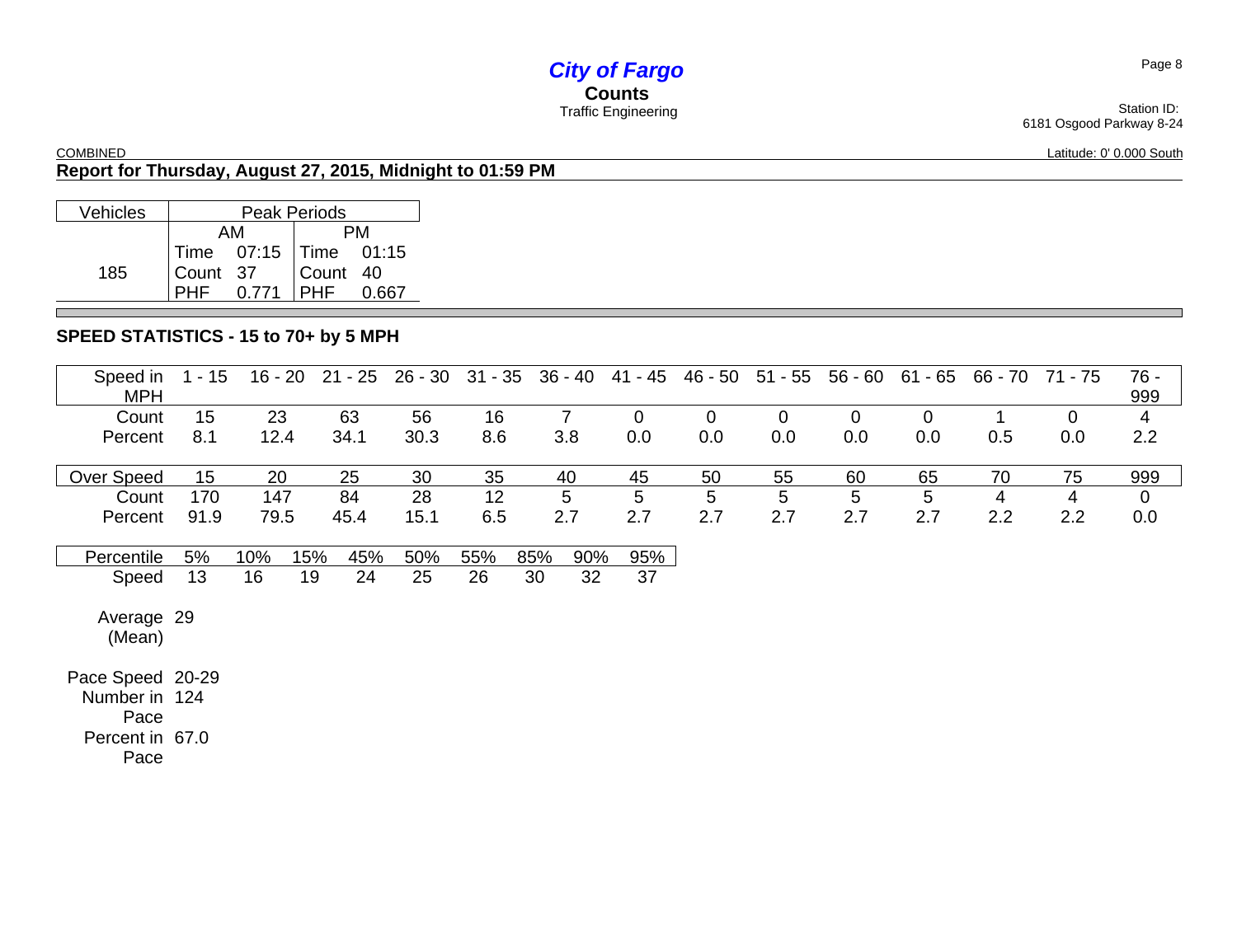# *City of Fargo* **Counts**

Traffic Engineering

Station ID: 6181 Osgood Parkway 8-24

Latitude: 0' 0.000 South

#### **COMBINED Report for Thursday, August 27, 2015, Midnight to 01:59 PM**

| <b>Peak Periods</b> |             |                                            |  |  |  |  |  |  |  |
|---------------------|-------------|--------------------------------------------|--|--|--|--|--|--|--|
|                     |             | PМ                                         |  |  |  |  |  |  |  |
|                     |             |                                            |  |  |  |  |  |  |  |
|                     |             |                                            |  |  |  |  |  |  |  |
|                     | PHF         | 0.667                                      |  |  |  |  |  |  |  |
|                     | AМ<br>0.771 | Time 07:15 Time 01:15<br>Count 37 Count 40 |  |  |  |  |  |  |  |

## **SPEED STATISTICS - 15 to 70+ by 5 MPH**

| Speed in   | - 15 |      |      | 16 - 20 21 - 25 26 - 30 31 - 35 36 - 40 |     |     | 41 - 45 46 - 50 51 - 55 56 - 60 61 - 65 |     |     |     |     | 66 - 70          | 71 - 75 | $76 -$ |
|------------|------|------|------|-----------------------------------------|-----|-----|-----------------------------------------|-----|-----|-----|-----|------------------|---------|--------|
| <b>MPH</b> |      |      |      |                                         |     |     |                                         |     |     |     |     |                  |         | 999    |
| Count      | 15   | 23   | 63   | 56                                      | 16  |     |                                         |     |     |     |     |                  |         | 4      |
| Percent    | 8.1  | 12.4 | 34.1 | 30.3                                    | 8.6 | 3.8 | 0.0                                     | 0.0 | 0.0 | 0.0 | 0.0 | 0.5              | 0.0     | 2.2    |
|            |      |      |      |                                         |     |     |                                         |     |     |     |     |                  |         |        |
| Over Speed | 15   | 20   | 25   | 30                                      | 35  | 40  | 45                                      | 50  | 55  | 60  | 65  | 70               | 75      | 999    |
| Count      | 170  | 147  | 84   | 28                                      | 12  | 5   | 5                                       | 5   | 5   | 5   | 5   | 4                | 4       | 0      |
| Percent    | 91.9 | 79.5 | 45.4 | 15.1                                    | 6.5 | 2.7 | 2.7                                     | 2.7 | 2.7 | 2.7 | 2.7 | $2.2\phantom{0}$ | 2.2     | 0.0    |
|            |      |      |      |                                         |     |     |                                         |     |     |     |     |                  |         |        |

| Percentile 5% 10% 15% 45% 50% 55% 85% 90% 95% |  |  |  |  |  |
|-----------------------------------------------|--|--|--|--|--|
| Speed 13 16 19 24 25 26 30 32 37              |  |  |  |  |  |

Average 29 (Mean)

Pace Speed 20-29 Number in 124

Pace

Percent in 67.0

Pace

Page 8